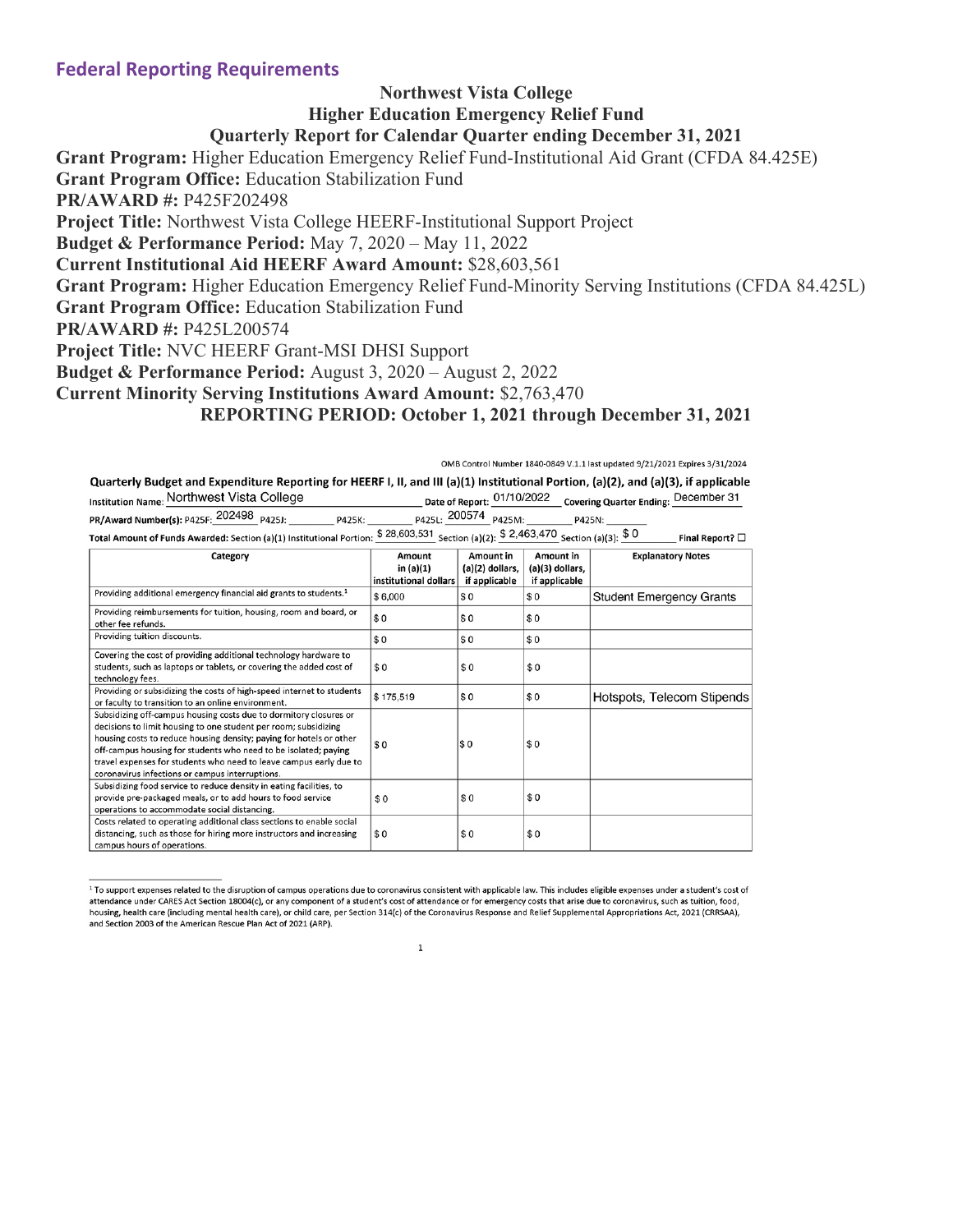### **Federal Reporting Requirements**

## **Northwest Vista College Higher Education Emergency Relief Fund Quarterly Report for Calendar Quarter ending December 31, 2021**

**Grant Program:** Higher Education Emergency Relief Fund-Institutional Aid Grant (CFDA 84.425E) **Grant Program Office:** Education Stabilization Fund **PR/AWARD #:** P425F202498 **Project Title:** Northwest Vista College HEERF-Institutional Support Project **Budget & Performance Period:** May 7, 2020 – May 11, 2022 **Current Institutional Aid HEERF Award Amount:** \$28,603,561 **Grant Program:** Higher Education Emergency Relief Fund-Minority Serving Institutions (CFDA 84.425L) **Grant Program Office:** Education Stabilization Fund **PR/AWARD #:** P425L200574 **Project Title:** NVC HEERF Grant-MSI DHSI Support **Budget & Performance Period:** August 3, 2020 – August 2, 2022 **Current Minority Serving Institutions Award Amount:** \$2,763,470 **REPORTING PERIOD: October 1, 2021 through December 31, 2021**

|                                                                      | OMB Control Number 1840-0849 V.1.1 last updated 9/21/2021 Expires 3/31/2024                                                         |                         |
|----------------------------------------------------------------------|-------------------------------------------------------------------------------------------------------------------------------------|-------------------------|
|                                                                      | Quarterly Budget and Expenditure Reporting for HEERF I, II, and III (a)(1) Institutional Portion, (a)(2), and (a)(3), if applicable |                         |
| Institution Name: Northwest Vista College                            | Date of Report: 01/10/2022 Covering Quarter Ending: December 31                                                                     |                         |
| PR/Award Number(s): P425F: 202498 P425J:<br>P425K:                   | P425L: 200574 P425M:<br>P425N:                                                                                                      |                         |
| Total Amount of Funds Awarded: Section (a)(1) Institutional Portion: | \$28,603,531 Section (a)(2): \$2,463,470 Section (a)(3): \$0                                                                        | Final Report? $\square$ |

Total Amount of Funds Awarded: Section (a)(1) Institutional Portion:  $\frac{$28,603,531}{2}$  Section (a)(2):  $\frac{$2,463,470}{2}$  Section (a)(3):  $\frac{$0]{30}}{2}$ 

| Category                                                                                                                                                                                                                                                                                                                                                                                                | Amount<br>in $(a)(1)$<br>institutional dollars | Amount in<br>(a)(2) dollars,<br>if applicable | Amount in<br>(a)(3) dollars,<br>if applicable | <b>Explanatory Notes</b>        |
|---------------------------------------------------------------------------------------------------------------------------------------------------------------------------------------------------------------------------------------------------------------------------------------------------------------------------------------------------------------------------------------------------------|------------------------------------------------|-----------------------------------------------|-----------------------------------------------|---------------------------------|
| Providing additional emergency financial aid grants to students. <sup>1</sup>                                                                                                                                                                                                                                                                                                                           | \$6,000                                        | \$0                                           | \$0                                           | <b>Student Emergency Grants</b> |
| Providing reimbursements for tuition, housing, room and board, or<br>other fee refunds.                                                                                                                                                                                                                                                                                                                 | \$0                                            | \$0                                           | \$0                                           |                                 |
| Providing tuition discounts.                                                                                                                                                                                                                                                                                                                                                                            | \$0                                            | \$0                                           | \$0                                           |                                 |
| Covering the cost of providing additional technology hardware to<br>students, such as laptops or tablets, or covering the added cost of<br>technology fees.                                                                                                                                                                                                                                             | \$0                                            | \$0                                           | \$0                                           |                                 |
| Providing or subsidizing the costs of high-speed internet to students<br>or faculty to transition to an online environment.                                                                                                                                                                                                                                                                             | \$175,519                                      | \$0                                           | \$0                                           | Hotspots, Telecom Stipends      |
| Subsidizing off-campus housing costs due to dormitory closures or<br>decisions to limit housing to one student per room; subsidizing<br>housing costs to reduce housing density; paying for hotels or other<br>off-campus housing for students who need to be isolated; paying<br>travel expenses for students who need to leave campus early due to<br>coronavirus infections or campus interruptions. | \$0                                            | $s_{0}$                                       | \$0                                           |                                 |
| Subsidizing food service to reduce density in eating facilities, to<br>provide pre-packaged meals, or to add hours to food service<br>operations to accommodate social distancing.                                                                                                                                                                                                                      | \$0                                            | \$0                                           | \$0                                           |                                 |
| Costs related to operating additional class sections to enable social<br>distancing, such as those for hiring more instructors and increasing<br>campus hours of operations.                                                                                                                                                                                                                            | \$0                                            | \$0                                           | \$0                                           |                                 |

<sup>&</sup>lt;sup>1</sup> To support expenses related to the disruption of campus operations due to coronavirus consistent with applicable law. This includes eligible expenses under a student's cost of attendance under CARES Act Section 18004(c), or any component of a student's cost of attendance or for emergency costs that arise due to coronavirus, such as tuition, food, housing, health care (including mental health care), or child care, per Section 314(c) of the Coronavirus Response and Relief Supplemental Appropriations Act, 2021 (CRRSAA), and Section 2003 of the American Rescue Plan Act of 2021 (ARP).

 $\mathbf 1$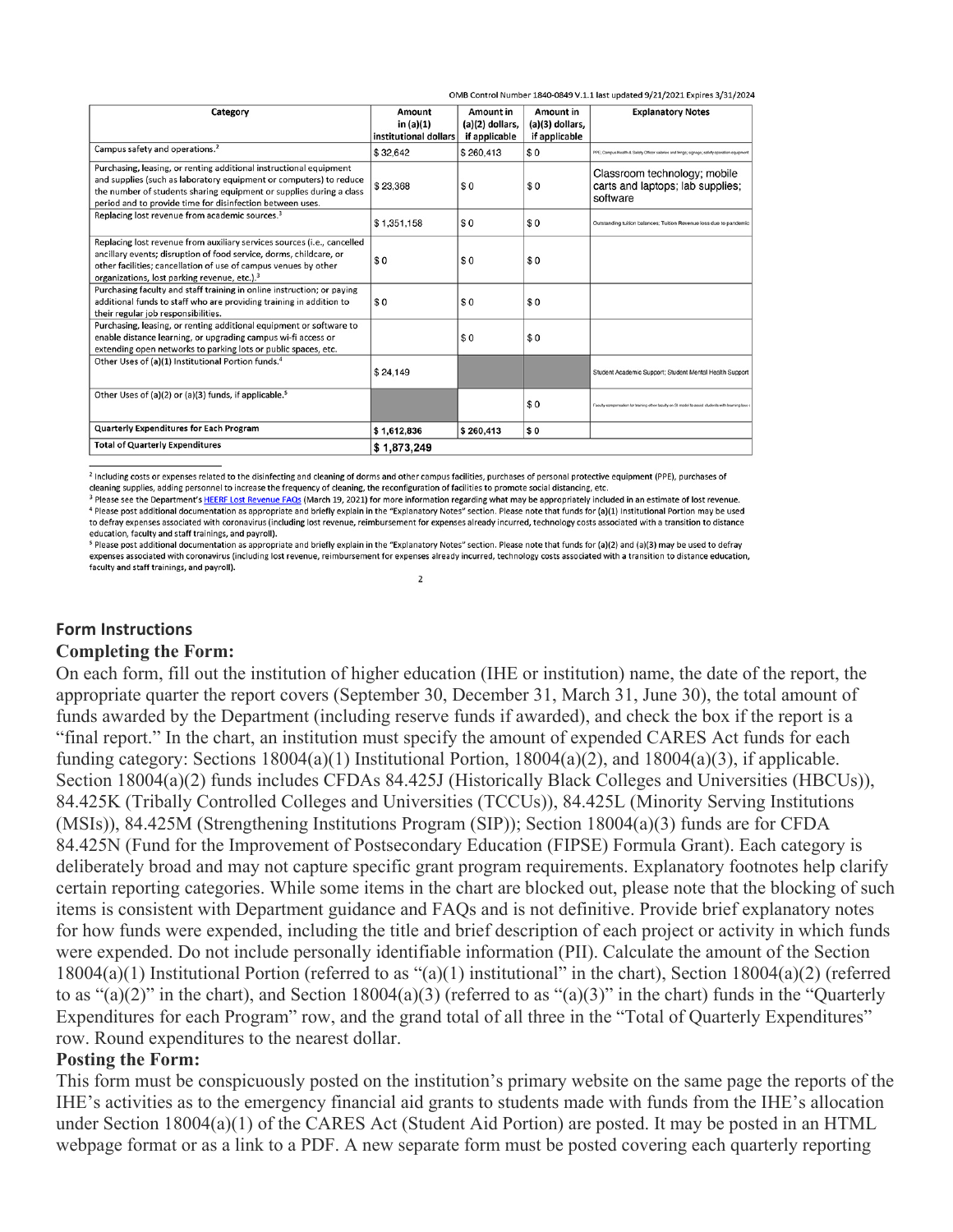| OMB Control Number 1840-0849 V.1.1 last updated 9/21/2021 Expires 3/31/2024 |  |
|-----------------------------------------------------------------------------|--|
|                                                                             |  |

| Category                                                                                                                                                                                                                                                                     | Amount                | Amount in       | Amount in       | <b>Explanatory Notes</b>                                                                          |
|------------------------------------------------------------------------------------------------------------------------------------------------------------------------------------------------------------------------------------------------------------------------------|-----------------------|-----------------|-----------------|---------------------------------------------------------------------------------------------------|
|                                                                                                                                                                                                                                                                              | in (a)(1)             | (a)(2) dollars, | (a)(3) dollars, |                                                                                                   |
|                                                                                                                                                                                                                                                                              | institutional dollars | if applicable   | if applicable   |                                                                                                   |
| Campus safety and operations. <sup>2</sup>                                                                                                                                                                                                                                   | \$32,642              | \$260,413       | \$0             | PPE; Campus Health & Safety Officer salaries and fringe; signage; safety operation equipme        |
| Purchasing, leasing, or renting additional instructional equipment<br>and supplies (such as laboratory equipment or computers) to reduce<br>the number of students sharing equipment or supplies during a class<br>period and to provide time for disinfection between uses. | \$23.368              | \$0             | \$0             | Classroom technology; mobile<br>carts and laptops; lab supplies;<br>software                      |
| Replacing lost revenue from academic sources. <sup>3</sup>                                                                                                                                                                                                                   | \$1,351,158           | \$0             | \$0             | Outstanding tuition balances; Tuition Revenue loss due to pandemic                                |
| Replacing lost revenue from auxiliary services sources (i.e., cancelled<br>ancillary events; disruption of food service, dorms, childcare, or<br>other facilities; cancellation of use of campus venues by other<br>organizations, lost parking revenue, etc.). <sup>3</sup> | \$0                   | \$0             | \$0             |                                                                                                   |
| Purchasing faculty and staff training in online instruction; or paying<br>additional funds to staff who are providing training in addition to<br>their regular job responsibilities.                                                                                         | \$0                   | \$0             | \$0             |                                                                                                   |
| Purchasing, leasing, or renting additional equipment or software to<br>enable distance learning, or upgrading campus wi-fi access or<br>extending open networks to parking lots or public spaces, etc.                                                                       |                       | \$0             | \$0             |                                                                                                   |
| Other Uses of (a)(1) Institutional Portion funds. <sup>4</sup>                                                                                                                                                                                                               | \$24,149              |                 |                 | Student Academic Support; Student Mental Health Support                                           |
| Other Uses of (a)(2) or (a)(3) funds, if applicable. <sup>5</sup>                                                                                                                                                                                                            |                       |                 | \$0             | Faculty compensation for training other faculty on SI model to assist students with learning loss |
| <b>Quarterly Expenditures for Each Program</b>                                                                                                                                                                                                                               | \$1,612,836           | \$260,413       | \$0             |                                                                                                   |
| <b>Total of Quarterly Expenditures</b>                                                                                                                                                                                                                                       | \$1,873,249           |                 |                 |                                                                                                   |

<sup>2</sup> Including costs or expenses related to the disinfecting and cleaning of dorms and other campus facilities, purchases of personal protective equipment (PPE), purchases of

cleaning supplies, adding personnel to increase the frequency of cleaning, the reconfiguration of facilities to promote social distancing, etc.

<sup>3</sup> Please see the Department's HEERF Lost Revenue FAQs (March 19, 2021) for more information regarding what may be appropriately included in an estimate of lost revenue. <sup>4</sup> Please post additional documentation as appropriate and briefly explain in the "Explanatory Notes" section. Please note that funds for (a)(1) Institutional Portion may be used to defray expenses associated with coronavirus (including lost revenue, reimbursement for expenses already incurred, technology costs associated with a transition to distance education, faculty and staff trainings, and payroll).

<sup>5</sup> Please post additional documentation as appropriate and briefly explain in the "Explanatory Notes" section. Please note that funds for (a)(2) and (a)(3) may be used to defray expenses associated with coronavirus (including lost revenue, reimbursement for expenses already incurred, technology costs associated with a transition to distance education, faculty and staff trainings, and payroll).

 $\overline{2}$ 

### **Form Instructions**

#### **Completing the Form:**

On each form, fill out the institution of higher education (IHE or institution) name, the date of the report, the appropriate quarter the report covers (September 30, December 31, March 31, June 30), the total amount of funds awarded by the Department (including reserve funds if awarded), and check the box if the report is a "final report." In the chart, an institution must specify the amount of expended CARES Act funds for each funding category: Sections  $18004(a)(1)$  Institutional Portion,  $18004(a)(2)$ , and  $18004(a)(3)$ , if applicable. Section 18004(a)(2) funds includes CFDAs 84.425J (Historically Black Colleges and Universities (HBCUs)), 84.425K (Tribally Controlled Colleges and Universities (TCCUs)), 84.425L (Minority Serving Institutions (MSIs)), 84.425M (Strengthening Institutions Program (SIP)); Section 18004(a)(3) funds are for CFDA 84.425N (Fund for the Improvement of Postsecondary Education (FIPSE) Formula Grant). Each category is deliberately broad and may not capture specific grant program requirements. Explanatory footnotes help clarify certain reporting categories. While some items in the chart are blocked out, please note that the blocking of such items is consistent with Department guidance and FAQs and is not definitive. Provide brief explanatory notes for how funds were expended, including the title and brief description of each project or activity in which funds were expended. Do not include personally identifiable information (PII). Calculate the amount of the Section  $18004(a)(1)$  Institutional Portion (referred to as "(a)(1) institutional" in the chart), Section  $18004(a)(2)$  (referred to as " $(a)(2)$ " in the chart), and Section 18004 $(a)(3)$  (referred to as " $(a)(3)$ " in the chart) funds in the "Quarterly Expenditures for each Program" row, and the grand total of all three in the "Total of Quarterly Expenditures" row. Round expenditures to the nearest dollar.

## **Posting the Form:**

This form must be conspicuously posted on the institution's primary website on the same page the reports of the IHE's activities as to the emergency financial aid grants to students made with funds from the IHE's allocation under Section 18004(a)(1) of the CARES Act (Student Aid Portion) are posted. It may be posted in an HTML webpage format or as a link to a PDF. A new separate form must be posted covering each quarterly reporting